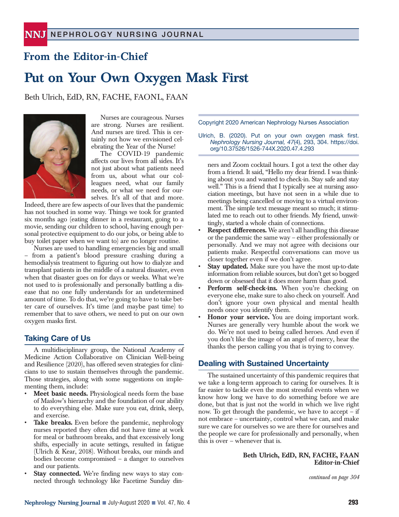# **From the Editor-in-Chief**

# **Put on Your Own Oxygen Mask First**

Beth Ulrich, EdD, RN, FACHE, FAONL, FAAN



Nurses are courageous. Nurses are strong. Nurses are resilient. And nurses are tired. This is certainly not how we envisioned celebrating the Year of the Nurse!

The COVID-19 pandemic affects our lives from all sides. It's not just about what patients need from us, about what our colleagues need, what our family needs, or what we need for ourselves. It's all of that and more.

Indeed, there are few aspects of our lives that the pandemic has not touched in some way. Things we took for granted six months ago (eating dinner in a restaurant, going to a movie, sending our children to school, having enough personal protective equipment to do our jobs, or being able to buy toilet paper when we want to) are no longer routine.

Nurses are used to handling emergencies big and small – from a patient's blood pressure crashing during a hemodialysis treatment to figuring out how to dialyze and transplant patients in the middle of a natural disaster, even when that disaster goes on for days or weeks. What we're not used to is professionally and personally battling a disease that no one fully understands for an undetermined amount of time. To do that, we're going to have to take better care of ourselves. It's time (and maybe past time) to remember that to save others, we need to put on our own oxygen masks first.

## **Taking Care of Us**

A multidisciplinary group, the National Academy of Medicine Action Collaborative on Clinician Well-being and Resilience (2020), has offered seven strategies for clinicians to use to sustain themselves through the pandemic. Those strategies, along with some suggestions on implementing them, include:

- **Meet basic needs.** Physiological needs form the base of Maslow's hierarchy and the foundation of our ability to do everything else. Make sure you eat, drink, sleep, and exercise.
- Take breaks. Even before the pandemic, nephrology nurses reported they often did not have time at work for meal or bathroom breaks, and that excessively long shifts, especially in acute settings, resulted in fatigue (Ulrich & Kear, 2018). Without breaks, our minds and bodies become compromised – a danger to ourselves and our patients.
- **Stay connected.** We're finding new ways to stay connected through technology like Facetime Sunday din-

Copyright 2020 American Nephrology Nurses Association

Ulrich, B. (2020). Put on your own oxygen mask first. *Nephrology Nursing Journal, 47*(4), 293, 304. https://doi. org/10.37526/1526-744X.2020.47.4.293

ners and Zoom cocktail hours. I got a text the other day from a friend. It said, "Hello my dear friend. I was thinking about you and wanted to check-in. Stay safe and stay well." This is a friend that I typically see at nursing association meetings, but have not seen in a while due to meetings being cancelled or moving to a virtual environment. The simple text message meant so much; it stimulated me to reach out to other friends. My friend, unwittingly, started a whole chain of connections.

- **Respect differences.** We aren't all handling this disease or the pandemic the same way – either professionally or personally. And we may not agree with decisions our patients make. Respectful conversations can move us closer together even if we don't agree.
- **Stay updated.** Make sure you have the most up-to-date information from reliable sources, but don't get so bogged down or obsessed that it does more harm than good.
- Perform self-check-ins. When you're checking on everyone else, make sure to also check on yourself. And don't ignore your own physical and mental health needs once you identify them.
- **Honor your service.** You are doing important work. Nurses are generally very humble about the work we do. We're not used to being called heroes. And even if you don't like the image of an angel of mercy, hear the thanks the person calling you that is trying to convey.

## **Dealing with Sustained Uncertainty**

The sustained uncertainty of this pandemic requires that we take a long-term approach to caring for ourselves. It is far easier to tackle even the most stressful events when we know how long we have to do something before we are done, but that is just not the world in which we live right now. To get through the pandemic, we have to accept – if not embrace – uncertainty, control what we can, and make sure we care for ourselves so we are there for ourselves and the people we care for professionally and personally, when this is over – whenever that is.

#### **Beth Ulrich, EdD, RN, FACHE, FAAN Editor-in-Chief**

*continued on page 304*